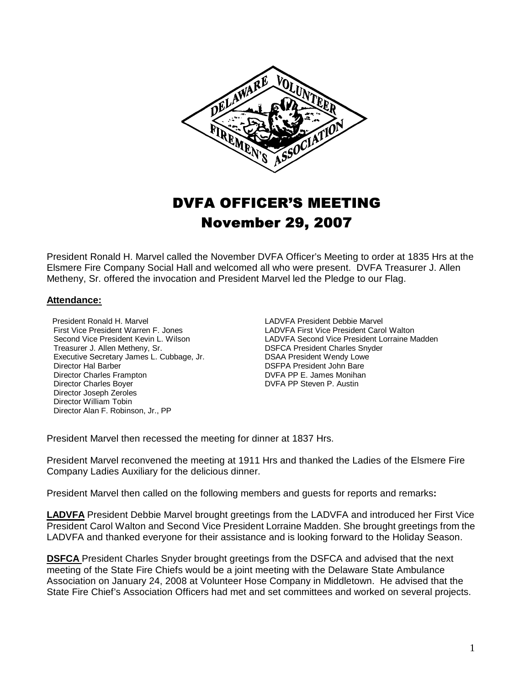

# DVFA OFFICER'S MEETING November 29, 2007

President Ronald H. Marvel called the November DVFA Officer's Meeting to order at 1835 Hrs at the Elsmere Fire Company Social Hall and welcomed all who were present. DVFA Treasurer J. Allen Metheny, Sr. offered the invocation and President Marvel led the Pledge to our Flag.

#### **Attendance:**

President Ronald H. Marvel **LADVFA President Debbie Marvel**<br>First Vice President Warren F. Jones **LADVFA First Vice President Card** First Vice President Warren F. Jones<br>
Second Vice President Kevin L. Wilson<br>
LADVFA Second Vice President Lorraine M Executive Secretary James L. Cubbage, Jr.<br>Director Hal Barber Director Charles Frampton DVFA PP E. James Monihan Director Charles Bover **DVFA PP Steven P. Austin**  Director Joseph Zeroles Director William Tobin Director Alan F. Robinson, Jr., PP

Second Vice President Kevin L. Wilson Laby LADVFA Second Vice President Lorraine Madden<br>
Treasurer J. Allen Metheny, Sr. Comparent Lorraine Shares Snyder DSFCA President Charles Snyder<br>DSAA President Wendy Lowe DSFPA President John Bare

President Marvel then recessed the meeting for dinner at 1837 Hrs.

President Marvel reconvened the meeting at 1911 Hrs and thanked the Ladies of the Elsmere Fire Company Ladies Auxiliary for the delicious dinner.

President Marvel then called on the following members and guests for reports and remarks**:**

**LADVFA** President Debbie Marvel brought greetings from the LADVFA and introduced her First Vice President Carol Walton and Second Vice President Lorraine Madden. She brought greetings from the LADVFA and thanked everyone for their assistance and is looking forward to the Holiday Season.

**DSFCA** President Charles Snyder brought greetings from the DSFCA and advised that the next meeting of the State Fire Chiefs would be a joint meeting with the Delaware State Ambulance Association on January 24, 2008 at Volunteer Hose Company in Middletown. He advised that the State Fire Chief's Association Officers had met and set committees and worked on several projects.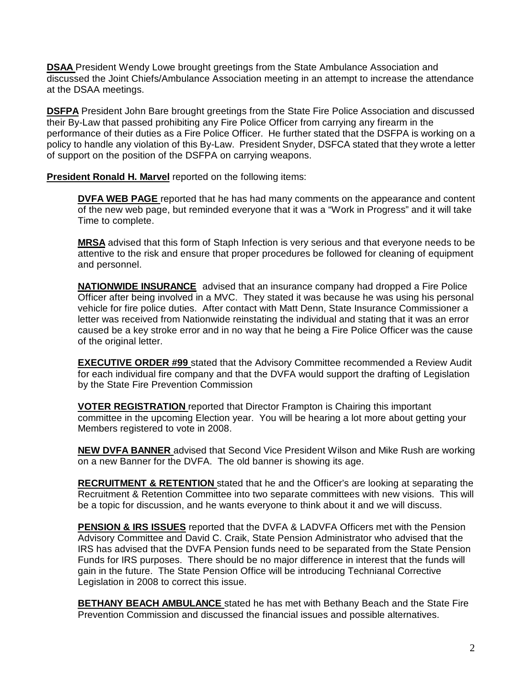**DSAA** President Wendy Lowe brought greetings from the State Ambulance Association and discussed the Joint Chiefs/Ambulance Association meeting in an attempt to increase the attendance at the DSAA meetings.

**DSFPA** President John Bare brought greetings from the State Fire Police Association and discussed their By-Law that passed prohibiting any Fire Police Officer from carrying any firearm in the performance of their duties as a Fire Police Officer. He further stated that the DSFPA is working on a policy to handle any violation of this By-Law. President Snyder, DSFCA stated that they wrote a letter of support on the position of the DSFPA on carrying weapons.

**President Ronald H. Marvel** reported on the following items:

**DVFA WEB PAGE** reported that he has had many comments on the appearance and content of the new web page, but reminded everyone that it was a "Work in Progress" and it will take Time to complete.

**MRSA** advised that this form of Staph Infection is very serious and that everyone needs to be attentive to the risk and ensure that proper procedures be followed for cleaning of equipment and personnel.

**NATIONWIDE INSURANCE** advised that an insurance company had dropped a Fire Police Officer after being involved in a MVC. They stated it was because he was using his personal vehicle for fire police duties. After contact with Matt Denn, State Insurance Commissioner a letter was received from Nationwide reinstating the individual and stating that it was an error caused be a key stroke error and in no way that he being a Fire Police Officer was the cause of the original letter.

**EXECUTIVE ORDER #99** stated that the Advisory Committee recommended a Review Audit for each individual fire company and that the DVFA would support the drafting of Legislation by the State Fire Prevention Commission

**VOTER REGISTRATION** reported that Director Frampton is Chairing this important committee in the upcoming Election year. You will be hearing a lot more about getting your Members registered to vote in 2008.

**NEW DVFA BANNER** advised that Second Vice President Wilson and Mike Rush are working on a new Banner for the DVFA. The old banner is showing its age.

**RECRUITMENT & RETENTION** stated that he and the Officer's are looking at separating the Recruitment & Retention Committee into two separate committees with new visions. This will be a topic for discussion, and he wants everyone to think about it and we will discuss.

**PENSION & IRS ISSUES** reported that the DVFA & LADVFA Officers met with the Pension Advisory Committee and David C. Craik, State Pension Administrator who advised that the IRS has advised that the DVFA Pension funds need to be separated from the State Pension Funds for IRS purposes. There should be no major difference in interest that the funds will gain in the future. The State Pension Office will be introducing Technianal Corrective Legislation in 2008 to correct this issue.

**BETHANY BEACH AMBULANCE** stated he has met with Bethany Beach and the State Fire Prevention Commission and discussed the financial issues and possible alternatives.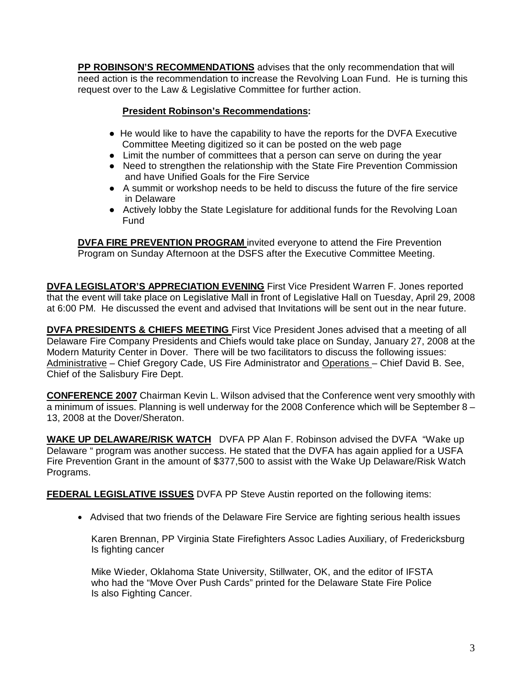**PP ROBINSON'S RECOMMENDATIONS** advises that the only recommendation that will need action is the recommendation to increase the Revolving Loan Fund. He is turning this request over to the Law & Legislative Committee for further action.

#### **President Robinson's Recommendations:**

- He would like to have the capability to have the reports for the DVFA Executive Committee Meeting digitized so it can be posted on the web page
- Limit the number of committees that a person can serve on during the year
- Need to strengthen the relationship with the State Fire Prevention Commission and have Unified Goals for the Fire Service
- A summit or workshop needs to be held to discuss the future of the fire service in Delaware
- Actively lobby the State Legislature for additional funds for the Revolving Loan Fund

**DVFA FIRE PREVENTION PROGRAM** invited everyone to attend the Fire Prevention Program on Sunday Afternoon at the DSFS after the Executive Committee Meeting.

**DVFA LEGISLATOR'S APPRECIATION EVENING** First Vice President Warren F. Jones reported that the event will take place on Legislative Mall in front of Legislative Hall on Tuesday, April 29, 2008 at 6:00 PM. He discussed the event and advised that Invitations will be sent out in the near future.

**DVFA PRESIDENTS & CHIEFS MEETING** First Vice President Jones advised that a meeting of all Delaware Fire Company Presidents and Chiefs would take place on Sunday, January 27, 2008 at the Modern Maturity Center in Dover. There will be two facilitators to discuss the following issues: Administrative – Chief Gregory Cade, US Fire Administrator and Operations – Chief David B. See, Chief of the Salisbury Fire Dept.

**CONFERENCE 2007** Chairman Kevin L. Wilson advised that the Conference went very smoothly with a minimum of issues. Planning is well underway for the 2008 Conference which will be September 8 – 13, 2008 at the Dover/Sheraton.

**WAKE UP DELAWARE/RISK WATCH** DVFA PP Alan F. Robinson advised the DVFA "Wake up Delaware " program was another success. He stated that the DVFA has again applied for a USFA Fire Prevention Grant in the amount of \$377,500 to assist with the Wake Up Delaware/Risk Watch Programs.

**FEDERAL LEGISLATIVE ISSUES** DVFA PP Steve Austin reported on the following items:

• Advised that two friends of the Delaware Fire Service are fighting serious health issues

 Karen Brennan, PP Virginia State Firefighters Assoc Ladies Auxiliary, of Fredericksburg Is fighting cancer

 Mike Wieder, Oklahoma State University, Stillwater, OK, and the editor of IFSTA who had the "Move Over Push Cards" printed for the Delaware State Fire Police Is also Fighting Cancer.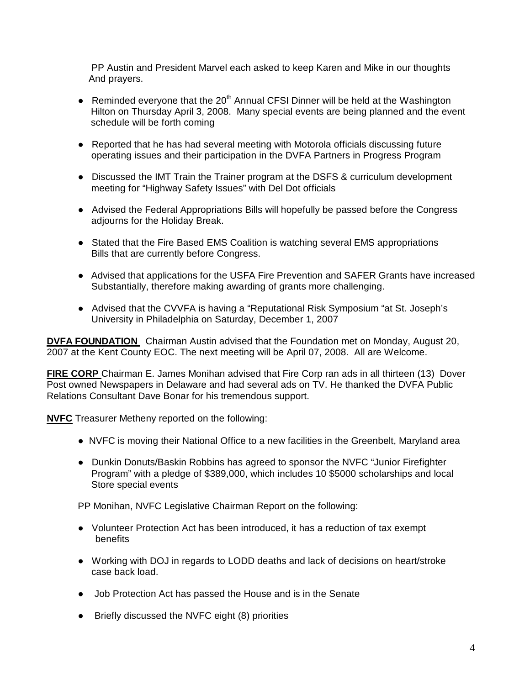PP Austin and President Marvel each asked to keep Karen and Mike in our thoughts And prayers.

- Reminded everyone that the  $20<sup>th</sup>$  Annual CFSI Dinner will be held at the Washington Hilton on Thursday April 3, 2008. Many special events are being planned and the event schedule will be forth coming
- Reported that he has had several meeting with Motorola officials discussing future operating issues and their participation in the DVFA Partners in Progress Program
- Discussed the IMT Train the Trainer program at the DSFS & curriculum development meeting for "Highway Safety Issues" with Del Dot officials
- Advised the Federal Appropriations Bills will hopefully be passed before the Congress adjourns for the Holiday Break.
- Stated that the Fire Based EMS Coalition is watching several EMS appropriations Bills that are currently before Congress.
- Advised that applications for the USFA Fire Prevention and SAFER Grants have increased Substantially, therefore making awarding of grants more challenging.
- Advised that the CVVFA is having a "Reputational Risk Symposium "at St. Joseph's University in Philadelphia on Saturday, December 1, 2007

**DVFA FOUNDATION** Chairman Austin advised that the Foundation met on Monday, August 20, 2007 at the Kent County EOC. The next meeting will be April 07, 2008. All are Welcome.

**FIRE CORP** Chairman E. James Monihan advised that Fire Corp ran ads in all thirteen (13) Dover Post owned Newspapers in Delaware and had several ads on TV. He thanked the DVFA Public Relations Consultant Dave Bonar for his tremendous support.

**NVFC** Treasurer Metheny reported on the following:

- NVFC is moving their National Office to a new facilities in the Greenbelt, Maryland area
- Dunkin Donuts/Baskin Robbins has agreed to sponsor the NVFC "Junior Firefighter Program" with a pledge of \$389,000, which includes 10 \$5000 scholarships and local Store special events

PP Monihan, NVFC Legislative Chairman Report on the following:

- Volunteer Protection Act has been introduced, it has a reduction of tax exempt benefits
- Working with DOJ in regards to LODD deaths and lack of decisions on heart/stroke case back load.
- Job Protection Act has passed the House and is in the Senate
- Briefly discussed the NVFC eight (8) priorities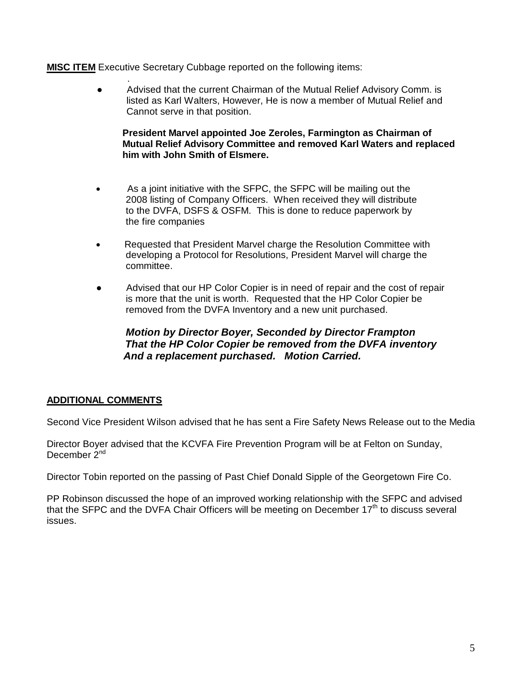#### **MISC ITEM** Executive Secretary Cubbage reported on the following items:

. Advised that the current Chairman of the Mutual Relief Advisory Comm. is listed as Karl Walters, However, He is now a member of Mutual Relief and Cannot serve in that position.

 **President Marvel appointed Joe Zeroles, Farmington as Chairman of Mutual Relief Advisory Committee and removed Karl Waters and replaced him with John Smith of Elsmere.** 

- •As a joint initiative with the SFPC, the SFPC will be mailing out the 2008 listing of Company Officers. When received they will distribute to the DVFA, DSFS & OSFM. This is done to reduce paperwork by the fire companies
- Requested that President Marvel charge the Resolution Committee with developing a Protocol for Resolutions, President Marvel will charge the committee.
- Advised that our HP Color Copier is in need of repair and the cost of repair is more that the unit is worth. Requested that the HP Color Copier be removed from the DVFA Inventory and a new unit purchased.

### **Motion by Director Boyer, Seconded by Director Frampton That the HP Color Copier be removed from the DVFA inventory And a replacement purchased. Motion Carried.**

#### **ADDITIONAL COMMENTS**

Second Vice President Wilson advised that he has sent a Fire Safety News Release out to the Media

Director Boyer advised that the KCVFA Fire Prevention Program will be at Felton on Sunday, December 2<sup>nd</sup>

Director Tobin reported on the passing of Past Chief Donald Sipple of the Georgetown Fire Co.

PP Robinson discussed the hope of an improved working relationship with the SFPC and advised that the SFPC and the DVFA Chair Officers will be meeting on December  $17<sup>th</sup>$  to discuss several issues.